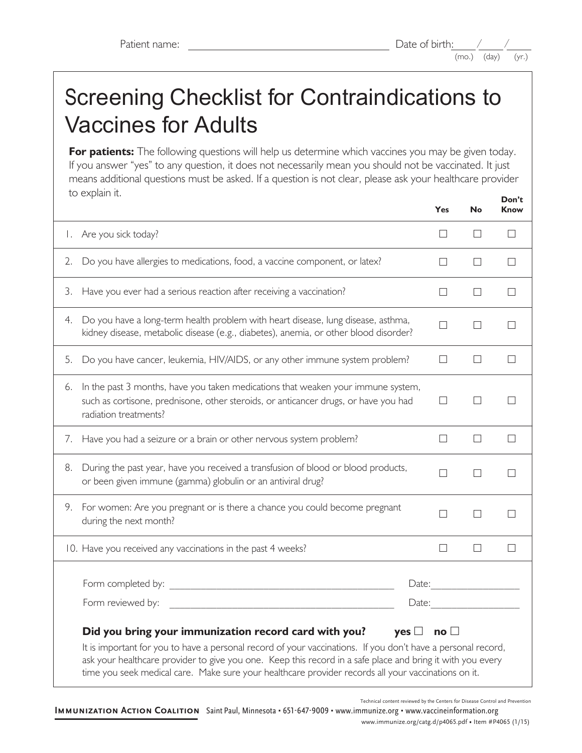# Screening Checklist for Contraindications to Vaccines for Adults

**For patients:** The following questions will help us determine which vaccines you may be given today. If you answer "yes" to any question, it does not necessarily mean you should not be vaccinated. It just means additional questions must be asked. If a question is not clear, please ask your healthcare provider to explain it. **Don't** 

|                                                                                                                                                                                                                                                                                                                                                                                                                    |                                                                                                                                                                                                  | <b>Yes</b> | <b>No</b> | <b>Know</b> |
|--------------------------------------------------------------------------------------------------------------------------------------------------------------------------------------------------------------------------------------------------------------------------------------------------------------------------------------------------------------------------------------------------------------------|--------------------------------------------------------------------------------------------------------------------------------------------------------------------------------------------------|------------|-----------|-------------|
| Ι.                                                                                                                                                                                                                                                                                                                                                                                                                 | Are you sick today?                                                                                                                                                                              | П          | $\perp$   | П           |
| 2.                                                                                                                                                                                                                                                                                                                                                                                                                 | Do you have allergies to medications, food, a vaccine component, or latex?                                                                                                                       | $\Box$     | $\Box$    | П           |
| 3.                                                                                                                                                                                                                                                                                                                                                                                                                 | Have you ever had a serious reaction after receiving a vaccination?                                                                                                                              | $\Box$     | П         | $\Box$      |
| 4.                                                                                                                                                                                                                                                                                                                                                                                                                 | Do you have a long-term health problem with heart disease, lung disease, asthma,<br>kidney disease, metabolic disease (e.g., diabetes), anemia, or other blood disorder?                         | П          | $\perp$   | П           |
| 5.                                                                                                                                                                                                                                                                                                                                                                                                                 | Do you have cancer, leukemia, HIV/AIDS, or any other immune system problem?                                                                                                                      | П          | $\Box$    | $\Box$      |
| 6.                                                                                                                                                                                                                                                                                                                                                                                                                 | In the past 3 months, have you taken medications that weaken your immune system,<br>such as cortisone, prednisone, other steroids, or anticancer drugs, or have you had<br>radiation treatments? | П          | $\perp$   | П           |
|                                                                                                                                                                                                                                                                                                                                                                                                                    | 7. Have you had a seizure or a brain or other nervous system problem?                                                                                                                            | П          | П         | $\Box$      |
| 8.                                                                                                                                                                                                                                                                                                                                                                                                                 | During the past year, have you received a transfusion of blood or blood products,<br>or been given immune (gamma) globulin or an antiviral drug?                                                 | П          | П         | $\Box$      |
| 9.                                                                                                                                                                                                                                                                                                                                                                                                                 | For women: Are you pregnant or is there a chance you could become pregnant<br>during the next month?                                                                                             | П          | $\perp$   | П           |
|                                                                                                                                                                                                                                                                                                                                                                                                                    | 10. Have you received any vaccinations in the past 4 weeks?                                                                                                                                      | $\Box$     | $\Box$    | $\Box$      |
|                                                                                                                                                                                                                                                                                                                                                                                                                    | Form completed by: <u>the completed</u> by:                                                                                                                                                      | Date:      |           |             |
|                                                                                                                                                                                                                                                                                                                                                                                                                    | Form reviewed by:                                                                                                                                                                                | Date:      |           |             |
| Did you bring your immunization record card with you?<br>yes $\Box$ no $\Box$<br>It is important for you to have a personal record of your vaccinations. If you don't have a personal record,<br>ask your healthcare provider to give you one. Keep this record in a safe place and bring it with you every<br>time you seek medical care. Make sure your healthcare provider records all your vaccinations on it. |                                                                                                                                                                                                  |            |           |             |

Technical content reviewed by the Centers for Disease Control and Prevention

**Immunization Action Coalition** Saint Paul, Minnesota • 651-647-9009 • www.immunize.org • www.vaccineinformation.org